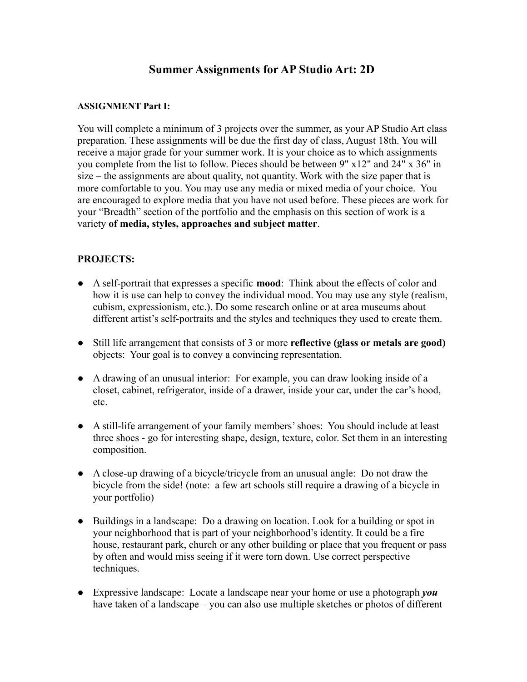# **Summer Assignments for AP Studio Art: 2D**

#### **ASSIGNMENT Part I:**

You will complete a minimum of 3 projects over the summer, as your AP Studio Art class preparation. These assignments will be due the first day of class, August 18th. You will receive a major grade for your summer work. It is your choice as to which assignments you complete from the list to follow. Pieces should be between 9" x12" and 24" x 36" in size – the assignments are about quality, not quantity. Work with the size paper that is more comfortable to you. You may use any media or mixed media of your choice. You are encouraged to explore media that you have not used before. These pieces are work for your "Breadth" section of the portfolio and the emphasis on this section of work is a variety **of media, styles, approaches and subject matter**.

### **PROJECTS:**

- A self-portrait that expresses a specific **mood**: Think about the effects of color and how it is use can help to convey the individual mood. You may use any style (realism, cubism, expressionism, etc.). Do some research online or at area museums about different artist's self-portraits and the styles and techniques they used to create them.
- Still life arrangement that consists of 3 or more **reflective (glass or metals are good)** objects: Your goal is to convey a convincing representation.
- A drawing of an unusual interior: For example, you can draw looking inside of a closet, cabinet, refrigerator, inside of a drawer, inside your car, under the car's hood, etc.
- A still-life arrangement of your family members' shoes: You should include at least three shoes - go for interesting shape, design, texture, color. Set them in an interesting composition.
- A close-up drawing of a bicycle/tricycle from an unusual angle: Do not draw the bicycle from the side! (note: a few art schools still require a drawing of a bicycle in your portfolio)
- **●** Buildings in a landscape: Do a drawing on location. Look for a building or spot in your neighborhood that is part of your neighborhood's identity. It could be a fire house, restaurant park, church or any other building or place that you frequent or pass by often and would miss seeing if it were torn down. Use correct perspective techniques.
- Expressive landscape: Locate a landscape near your home or use a photograph *you* have taken of a landscape – you can also use multiple sketches or photos of different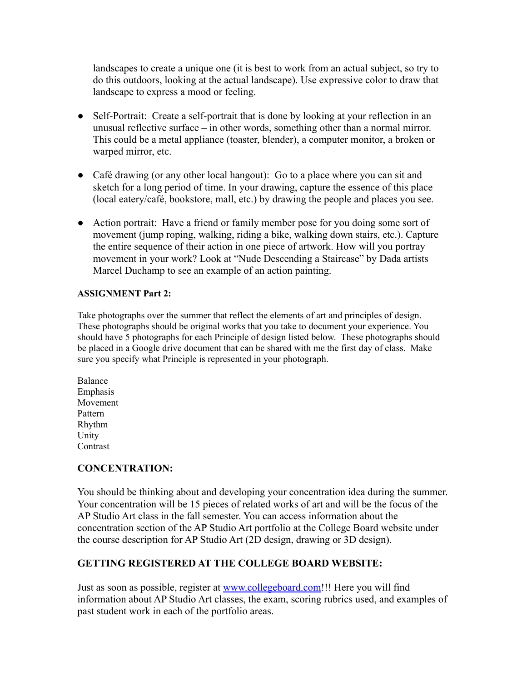landscapes to create a unique one (it is best to work from an actual subject, so try to do this outdoors, looking at the actual landscape). Use expressive color to draw that landscape to express a mood or feeling.

- Self-Portrait: Create a self-portrait that is done by looking at your reflection in an unusual reflective surface – in other words, something other than a normal mirror. This could be a metal appliance (toaster, blender), a computer monitor, a broken or warped mirror, etc.
- Café drawing (or any other local hangout): Go to a place where you can sit and sketch for a long period of time. In your drawing, capture the essence of this place (local eatery/café, bookstore, mall, etc.) by drawing the people and places you see.
- Action portrait: Have a friend or family member pose for you doing some sort of movement (jump roping, walking, riding a bike, walking down stairs, etc.). Capture the entire sequence of their action in one piece of artwork. How will you portray movement in your work? Look at "Nude Descending a Staircase" by Dada artists Marcel Duchamp to see an example of an action painting.

#### **ASSIGNMENT Part 2:**

Take photographs over the summer that reflect the elements of art and principles of design. These photographs should be original works that you take to document your experience. You should have 5 photographs for each Principle of design listed below. These photographs should be placed in a Google drive document that can be shared with me the first day of class. Make sure you specify what Principle is represented in your photograph.

Balance Emphasis Movement Pattern Rhythm Unity **Contrast** 

### **CONCENTRATION:**

You should be thinking about and developing your concentration idea during the summer. Your concentration will be 15 pieces of related works of art and will be the focus of the AP Studio Art class in the fall semester. You can access information about the concentration section of the AP Studio Art portfolio at the College Board website under the course description for AP Studio Art (2D design, drawing or 3D design).

### **GETTING REGISTERED AT THE COLLEGE BOARD WEBSITE:**

Just as soon as possible, register at [www.collegeboard.com](http://www.collegeboard.com/)!!! Here you will find information about AP Studio Art classes, the exam, scoring rubrics used, and examples of past student work in each of the portfolio areas.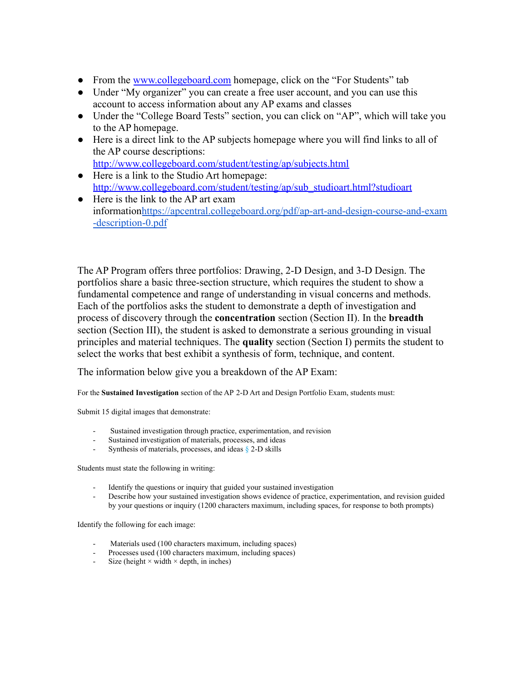- From the [www.collegeboard.com](http://www.collegeboard.com/) homepage, click on the "For Students" tab
- Under "My organizer" you can create a free user account, and you can use this account to access information about any AP exams and classes
- Under the "College Board Tests" section, you can click on "AP", which will take you to the AP homepage.
- Here is a direct link to the AP subjects homepage where you will find links to all of the AP course descriptions: <http://www.collegeboard.com/student/testing/ap/subjects.html>
- Here is a link to the Studio Art homepage: [http://www.collegeboard.com/student/testing/ap/sub\\_studioart.html?studioart](http://www.collegeboard.com/student/testing/ap/sub_studioart.html?studioart)
- Here is the link to the AP art exam information[https://apcentral.collegeboard.org/pdf/ap-art-and-design-course-and-exam](https://apcentral.collegeboard.org/pdf/ap-art-and-design-course-and-exam-description-0.pdf) [-description-0.pdf](https://apcentral.collegeboard.org/pdf/ap-art-and-design-course-and-exam-description-0.pdf)

The AP Program offers three portfolios: Drawing, 2-D Design, and 3-D Design. The portfolios share a basic three-section structure, which requires the student to show a fundamental competence and range of understanding in visual concerns and methods. Each of the portfolios asks the student to demonstrate a depth of investigation and process of discovery through the **concentration** section (Section II). In the **breadth** section (Section III), the student is asked to demonstrate a serious grounding in visual principles and material techniques. The **quality** section (Section I) permits the student to select the works that best exhibit a synthesis of form, technique, and content.

The information below give you a breakdown of the AP Exam:

For the **Sustained Investigation** section of the AP 2-D Art and Design Portfolio Exam, students must:

Submit 15 digital images that demonstrate:

- Sustained investigation through practice, experimentation, and revision
- Sustained investigation of materials, processes, and ideas
- Synthesis of materials, processes, and ideas § 2-D skills

Students must state the following in writing:

- Identify the questions or inquiry that guided your sustained investigation
- Describe how your sustained investigation shows evidence of practice, experimentation, and revision guided by your questions or inquiry (1200 characters maximum, including spaces, for response to both prompts)

Identify the following for each image:

- Materials used (100 characters maximum, including spaces)
- Processes used (100 characters maximum, including spaces)
- Size (height  $\times$  width  $\times$  depth, in inches)